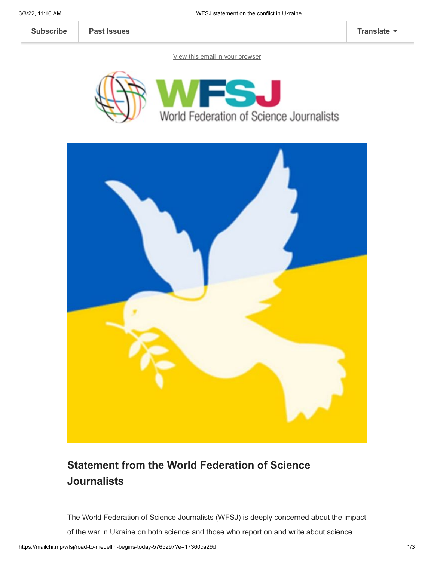**[Subscribe](http://eepurl.com/gBSAIn) [Past Issues](https://us2.campaign-archive.com/home/?u=a8d11a901ac032467f5aed649&id=6ab4679c19) [Translate](javascript:;)** 

[View this email in your browser](https://mailchi.mp/wfsj/road-to-medellin-begins-today-5765297?e=17360ca29d)





## **Statement from the World Federation of Science Journalists**

The World Federation of Science Journalists (WFSJ) is deeply concerned about the impact

of the war in Ukraine on both science and those who report on and write about science.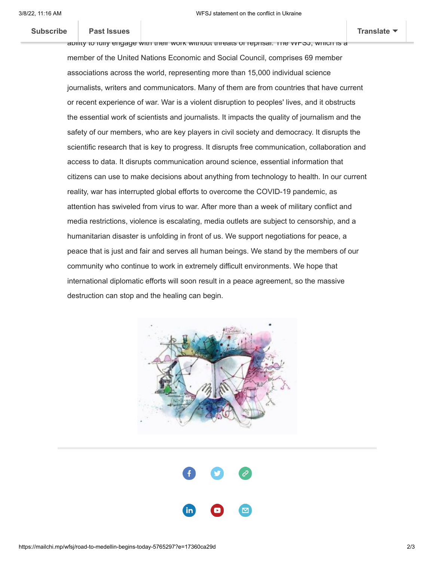## $\mathsf{p}_\mathsf{act}$  [fear for the physica](https://us2.campaign-archive.com/home/?u=a8d11a901ac032467f5aed649&id=6ab4679c19)l safety of  $\mathsf{p}_\mathsf{act}$ **[Subscribe](http://eepurl.com/gBSAIn) Past Issues [Translate](javascript:;)**

ability to fully engage with their work without threats of reprisal. The WFSJ, which is a member of the United Nations Economic and Social Council, comprises 69 member associations across the world, representing more than 15,000 individual science journalists, writers and communicators. Many of them are from countries that have current or recent experience of war. War is a violent disruption to peoples' lives, and it obstructs the essential work of scientists and journalists. It impacts the quality of journalism and the safety of our members, who are key players in civil society and democracy. It disrupts the scientific research that is key to progress. It disrupts free communication, collaboration and access to data. It disrupts communication around science, essential information that citizens can use to make decisions about anything from technology to health. In our current reality, war has interrupted global efforts to overcome the COVID-19 pandemic, as attention has swiveled from virus to war. After more than a week of military conflict and media restrictions, violence is escalating, media outlets are subject to censorship, and a humanitarian disaster is unfolding in front of us. We support negotiations for peace, a peace that is just and fair and serves all human beings. We stand by the members of our community who continue to work in extremely difficult environments. We hope that international diplomatic efforts will soon result in a peace agreement, so the massive destruction can stop and the healing can begin.